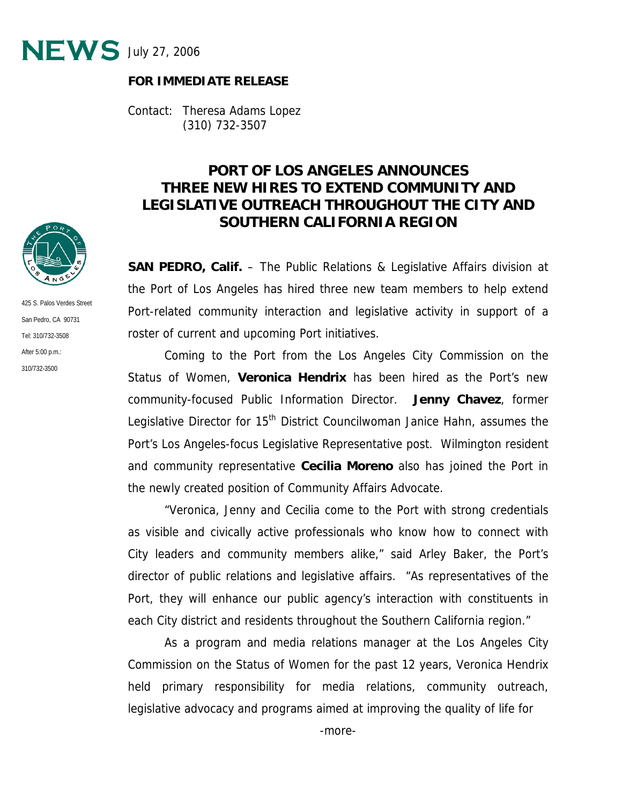

## **FOR IMMEDIATE RELEASE**

Contact: Theresa Adams Lopez (310) 732-3507

## **PORT OF LOS ANGELES ANNOUNCES THREE NEW HIRES TO EXTEND COMMUNITY AND LEGISLATIVE OUTREACH THROUGHOUT THE CITY AND SOUTHERN CALIFORNIA REGION**

**SAN PEDRO, Calif.** – The Public Relations & Legislative Affairs division at the Port of Los Angeles has hired three new team members to help extend Port-related community interaction and legislative activity in support of a roster of current and upcoming Port initiatives.

 Coming to the Port from the Los Angeles City Commission on the Status of Women, **Veronica Hendrix** has been hired as the Port's new community-focused Public Information Director. **Jenny Chavez**, former Legislative Director for 15<sup>th</sup> District Councilwoman Janice Hahn, assumes the Port's Los Angeles-focus Legislative Representative post. Wilmington resident and community representative **Cecilia Moreno** also has joined the Port in the newly created position of Community Affairs Advocate.

 "Veronica, Jenny and Cecilia come to the Port with strong credentials as visible and civically active professionals who know how to connect with City leaders and community members alike," said Arley Baker, the Port's director of public relations and legislative affairs. "As representatives of the Port, they will enhance our public agency's interaction with constituents in each City district and residents throughout the Southern California region."

 As a program and media relations manager at the Los Angeles City Commission on the Status of Women for the past 12 years, Veronica Hendrix held primary responsibility for media relations, community outreach, legislative advocacy and programs aimed at improving the quality of life for



425 S. Palos Verdes Street San Pedro, CA 90731 Tel: 310/732-3508 After 5:00 p.m.: 310/732-3500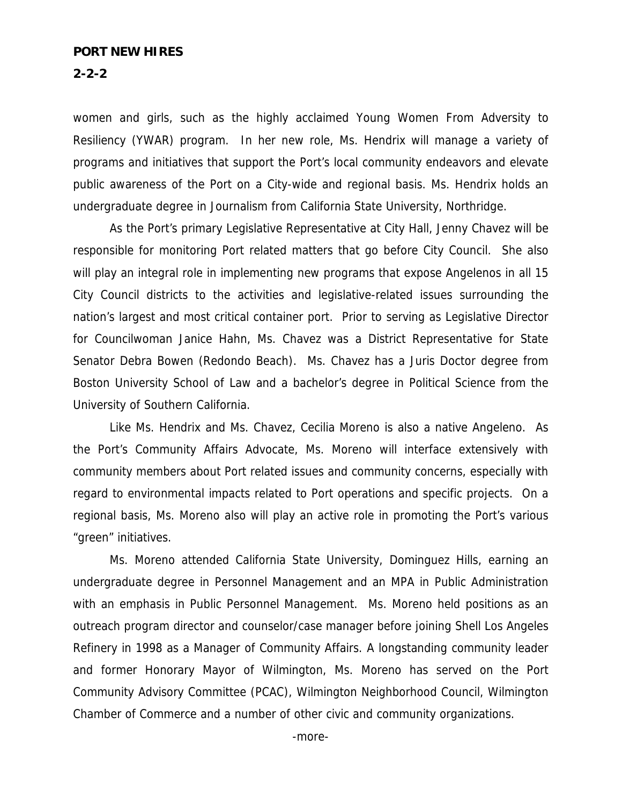## **PORT NEW HIRES**

**2-2-2** 

women and girls, such as the highly acclaimed Young Women From Adversity to Resiliency (YWAR) program. In her new role, Ms. Hendrix will manage a variety of programs and initiatives that support the Port's local community endeavors and elevate public awareness of the Port on a City-wide and regional basis. Ms. Hendrix holds an undergraduate degree in Journalism from California State University, Northridge.

 As the Port's primary Legislative Representative at City Hall, Jenny Chavez will be responsible for monitoring Port related matters that go before City Council. She also will play an integral role in implementing new programs that expose Angelenos in all 15 City Council districts to the activities and legislative-related issues surrounding the nation's largest and most critical container port. Prior to serving as Legislative Director for Councilwoman Janice Hahn, Ms. Chavez was a District Representative for State Senator Debra Bowen (Redondo Beach). Ms. Chavez has a Juris Doctor degree from Boston University School of Law and a bachelor's degree in Political Science from the University of Southern California.

 Like Ms. Hendrix and Ms. Chavez, Cecilia Moreno is also a native Angeleno. As the Port's Community Affairs Advocate, Ms. Moreno will interface extensively with community members about Port related issues and community concerns, especially with regard to environmental impacts related to Port operations and specific projects. On a regional basis, Ms. Moreno also will play an active role in promoting the Port's various "green" initiatives.

 Ms. Moreno attended California State University, Dominguez Hills, earning an undergraduate degree in Personnel Management and an MPA in Public Administration with an emphasis in Public Personnel Management. Ms. Moreno held positions as an outreach program director and counselor/case manager before joining Shell Los Angeles Refinery in 1998 as a Manager of Community Affairs. A longstanding community leader and former Honorary Mayor of Wilmington, Ms. Moreno has served on the Port Community Advisory Committee (PCAC), Wilmington Neighborhood Council, Wilmington Chamber of Commerce and a number of other civic and community organizations.

-more-